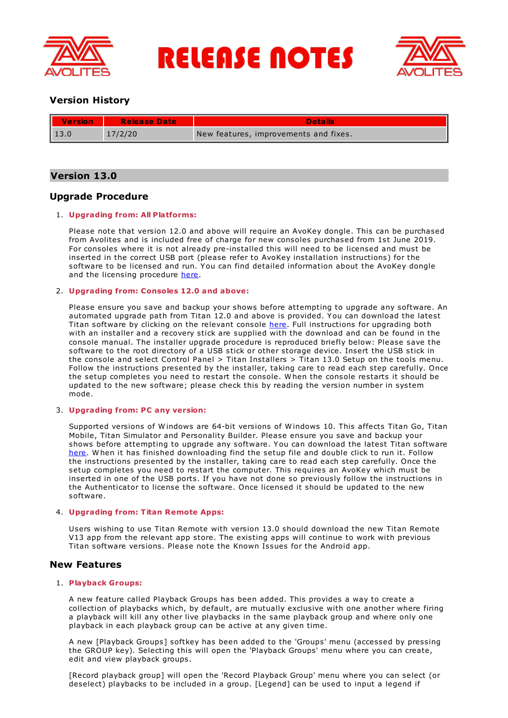

**RELEASE NOTES** 



# **Version History**

| <b>Version</b> | <b>Release Date</b> | Details                               |
|----------------|---------------------|---------------------------------------|
| 13.0           | 17/2/20             | New features, improvements and fixes. |

# **Version 13.0**

# **Upgrade Procedure**

# 1. **Upgrading from: All Platforms:**

Please note that version 12.0 and above will require an AvoKey dongle. This can be purchased from Avolites and is included free of charge for new consoles purchased from 1st June 2019. For consoles where it is not already pre-installed this will need to be licensed and must be inserted in the correct USB port (please refer to AvoKey installation instructions) for the software to be licensed and run. You can find detailed information about the AvoKey dongle and the licensing procedure [here](https://www.avolites.com/avokey).

# 2. **Upgrading from: Consoles 12.0 and above:**

Please ensure you save and backup your shows before attempting to upgrade any software. An automated upgrade path from Titan 12.0 and above is provided. You can download the latest Titan software by clicking on the relevant console [here](http://www.avolites.com/software/latest-version). Full instructions for upgrading both with an installer and a recovery stick are supplied with the download and can be found in the console manual. The installer upgrade procedure is reproduced briefly below: Please save the software to the root directory of a USB stick or other storage device. Insert the USB stick in the console and select Control Panel > Titan Installers > Titan 13.0 Setup on the tools menu. Follow the instructions presented by the installer, taking care to read each step carefully. Once the setup completes you need to restart the console. W hen the console restarts it should be updated to the new software; please check this by reading the version number in system mode.

# 3. **Upgrading from: PC any version:**

Supported versions of W indows are 64-bit versions of W indows 10. This affects Titan Go, Titan Mobile, Titan Simulator and Personality Builder. Please ensure you save and backup your shows before attempting to upgrade any software. You can download the latest Titan software [here](http://www.avolites.com/software/latest-version). When it has finished downloading find the setup file and double click to run it. Follow the instructions presented by the installer, taking care to read each step carefully. Once the setup completes you need to restart the computer. This requires an AvoKey which must be inserted in one of the USB ports. If you have not done so previously follow the instructions in the Authenticator to license the software. Once licensed it should be updated to the new software.

# 4. **Upgrading from: Titan Remote Apps:**

Users wishing to use Titan Remote with version 13.0 should download the new Titan Remote V13 app from the relevant app store. The existing apps will continue to work with previous Titan software versions. Please note the Known Issues for the Android app.

# **New Features**

# 1. **Playback Groups:**

A new feature called Playback Groups has been added. This provides a way to create a collection of playbacks which, by default, are mutually exclusive with one another where firing a playback will kill any other live playbacks in the same playback group and where only one playback in each playback group can be active at any given time.

A new [Playback Groups] softkey has been added to the 'Groups' menu (accessed by pressing the GROUP key). Selecting this will open the 'Playback Groups' menu where you can create, edit and view playback groups.

[Record playback group] will open the 'Record Playback Group' menu where you can select (or deselect) playbacks to be included in a group. [Legend] can be used to input a legend if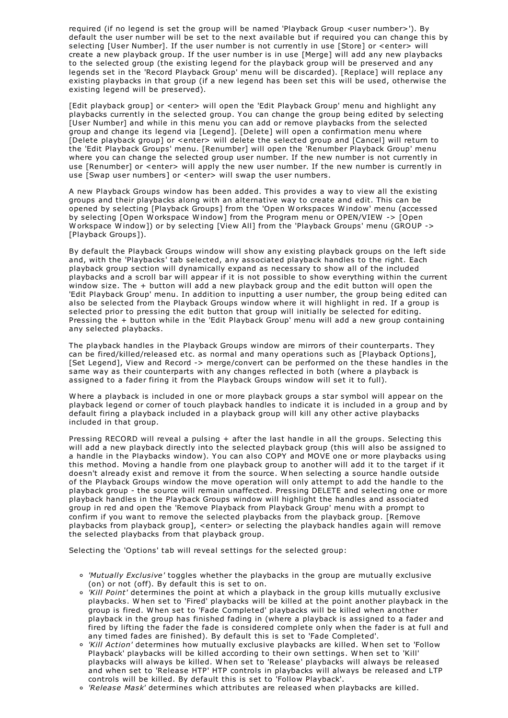required (if no legend is set the group will be named 'Playback Group <user number>'). By default the user number will be set to the next available but if required you can change this by selecting [User Number]. If the user number is not currently in use [Store] or <enter> will create a new playback group. If the user number is in use [Merge] will add any new playbacks to the selected group (the existing legend for the playback group will be preserved and any legends set in the 'Record Playback Group' menu will be discarded). [Replace] will replace any existing playbacks in that group (if a new legend has been set this will be used, otherwise the existing legend will be preserved).

[Edit playback group] or <enter> will open the 'Edit Playback Group' menu and highlight any playbacks currently in the selected group. You can change the group being edited by selecting [User Number] and while in this menu you can add or remove playbacks from the selected group and change its legend via [Legend]. [Delete] will open a confirmation menu where [Delete playback group] or <enter> will delete the selected group and [Cancel] will return to the 'Edit Playback Groups' menu. [Renumber] will open the 'Renumber Playback Group' menu where you can change the selected group user number. If the new number is not currently in use [Renumber] or <enter> will apply the new user number. If the new number is currently in use [Swap user numbers] or <enter> will swap the user numbers.

A new Playback Groups window has been added. This provides a way to view all the existing groups and their playbacks along with an alternative way to create and edit. This can be opened by selecting [Playback Groups] from the 'Open W orkspaces W indow' menu (accessed by selecting [Open W orkspace W indow] from the Program menu or OPEN/VIEW -> [Open W orkspace W indow]) or by selecting [View All] from the 'Playback Groups' menu (GROUP -> [Playback Groups]).

By default the Playback Groups window will show any existing playback groups on the left side and, with the 'Playbacks' tab selected, any associated playback handles to the right. Each playback group section will dynamically expand as necessary to show all of the included playbacks and a scroll bar will appear if it is not possible to show everything within the current window size. The + button will add a new playback group and the edit button will open the 'Edit Playback Group' menu. In addition to inputting a user number, the group being edited can also be selected from the Playback Groups window where it will highlight in red. If a group is selected prior to pressing the edit button that group will initially be selected for editing. Pressing the + button while in the 'Edit Playback Group' menu will add a new group containing any selected playbacks.

The playback handles in the Playback Groups window are mirrors of their counterparts. They can be fired/killed/released etc. as normal and many operations such as [Playback Options], [Set Legend], View and Record -> merge/convert can be performed on the these handles in the same way as their counterparts with any changes reflected in both (where a playback is assigned to a fader firing it from the Playback Groups window will set it to full).

W here a playback is included in one or more playback groups a star symbol will appear on the playback legend or corner of touch playback handles to indicate it is included in a group and by default firing a playback included in a playback group will kill any other active playbacks included in that group.

Pressing RECORD will reveal a pulsing + after the last handle in all the groups. Selecting this will add a new playback directly into the selected playback group (this will also be assigned to a handle in the Playbacks window). You can also COPY and MOVE one or more playbacks using this method. Moving a handle from one playback group to another will add it to the target if it doesn't already exist and remove it from the source. W hen selecting a source handle outside of the Playback Groups window the move operation will only attempt to add the handle to the playback group - the source will remain unaffected. Pressing DELETE and selecting one or more playback handles in the Playback Groups window will highlight the handles and associated group in red and open the 'Remove Playback from Playback Group' menu with a prompt to confirm if you want to remove the selected playbacks from the playback group. [Remove playbacks from playback group], <enter> or selecting the playback handles again will remove the selected playbacks from that playback group.

Selecting the 'Options' tab will reveal settings for the selected group:

- *'Mutually Exclusive'* toggles whether the playbacks in the group are mutually exclusive (on) or not (off). By default this is set to on.
- *'Kill Point'* determines the point at which a playback in the group kills mutually exclusive playbacks. W hen set to 'Fired' playbacks will be killed at the point another playback in the group is fired. W hen set to 'Fade Completed' playbacks will be killed when another playback in the group has finished fading in (where a playback is assigned to a fader and fired by lifting the fader the fade is considered complete only when the fader is at full and any timed fades are finished). By default this is set to 'Fade Completed'.
- *'Kill Action'* determines how mutually exclusive playbacks are killed. W hen set to 'Follow Playback' playbacks will be killed according to their own settings. W hen set to 'Kill' playbacks will always be killed. W hen set to 'Release' playbacks will always be released and when set to 'Release HTP' HTP controls in playbacks will always be released and LTP controls will be killed. By default this is set to 'Follow Playback'.
- *'Release Mask'* determines which attributes are released when playbacks are killed.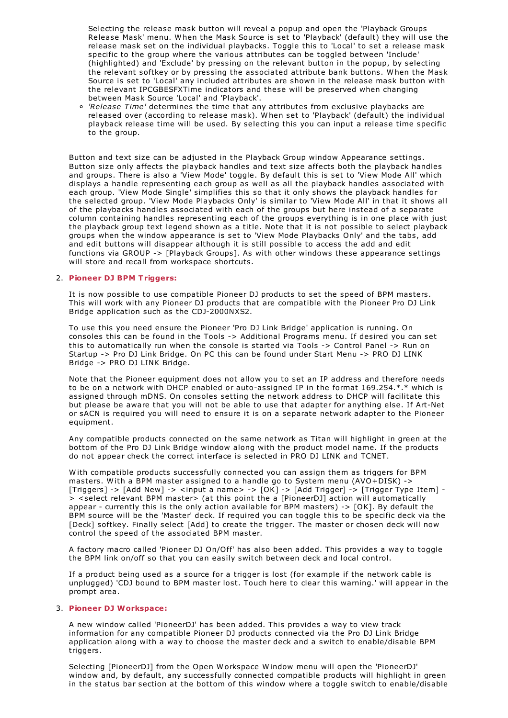Selecting the release mask button will reveal a popup and open the 'Playback Groups Release Mask' menu. W hen the Mask Source is set to 'Playback' (default) they will use the release mask set on the individual playbacks. Toggle this to 'Local' to set a release mask specific to the group where the various attributes can be toggled between 'Include' (highlighted) and 'Exclude' by pressing on the relevant button in the popup, by selecting the relevant softkey or by pressing the associated attribute bank buttons. W hen the Mask Source is set to 'Local' any included attributes are shown in the release mask button with the relevant IPCGBESFXTime indicators and these will be preserved when changing between Mask Source 'Local' and 'Playback'.

*'Release Time'* determines the time that any attributes from exclusive playbacks are released over (according to release mask). W hen set to 'Playback' (default) the individual playback release time will be used. By selecting this you can input a release time specific to the group.

Button and text size can be adjusted in the Playback Group window Appearance settings. Button size only affects the playback handles and text size affects both the playback handles and groups. There is also a 'View Mode' toggle. By default this is set to 'View Mode All' which displays a handle representing each group as well as all the playback handles associated with each group. 'View Mode Single' simplifies this so that it only shows the playback handles for the selected group. 'View Mode Playbacks Only' is similar to 'View Mode All' in that it shows all of the playbacks handles associated with each of the groups but here instead of a separate column containing handles representing each of the groups everything is in one place with just the playback group text legend shown as a title. Note that it is not possible to select playback groups when the window appearance is set to 'View Mode Playbacks Only' and the tabs, add and edit buttons will disappear although it is still possible to access the add and edit functions via GROUP -> [Playback Groups]. As with other windows these appearance settings will store and recall from workspace shortcuts.

### 2. **Pioneer DJ BPM Triggers:**

It is now possible to use compatible Pioneer DJ products to set the speed of BPM masters. This will work with any Pioneer DJ products that are compatible with the Pioneer Pro DJ Link Bridge application such as the CDJ-2000NXS2.

To use this you need ensure the Pioneer 'Pro DJ Link Bridge' application is running. On consoles this can be found in the Tools -> Additional Programs menu. If desired you can set this to automatically run when the console is started via Tools -> Control Panel -> Run on Startup -> Pro DJ Link Bridge. On PC this can be found under Start Menu -> PRO DJ LINK Bridge -> PRO DJ LINK Bridge.

Note that the Pioneer equipment does not allow you to set an IP address and therefore needs to be on a network with DHCP enabled or auto-assigned IP in the format 169.254.\*.\* which is assigned through mDNS. On consoles setting the network address to DHCP will facilitate this but please be aware that you will not be able to use that adapter for anything else. If Art-Net or sACN is required you will need to ensure it is on a separate network adapter to the Pioneer equipment.

Any compatible products connected on the same network as Titan will highlight in green at the bottom of the Pro DJ Link Bridge window along with the product model name. If the products do not appear check the correct interface is selected in PRO DJ LINK and TCNET.

W ith compatible products successfully connected you can assign them as triggers for BPM masters. W ith a BPM master assigned to a handle go to System menu (AVO+DISK) -> [Triggers] -> [Add New] -> <input a name> -> [OK] -> [Add Trigger] -> [Trigger Type Item] - > <select relevant BPM master> (at this point the a [PioneerDJ] action will automatically appear - currently this is the only action available for BPM masters) -> [OK]. By default the BPM source will be the 'Master' deck. If required you can toggle this to be specific deck via the [Deck] softkey. Finally select [Add] to create the trigger. The master or chosen deck will now control the speed of the associated BPM master.

A factory macro called 'Pioneer DJ On/Off' has also been added. This provides a way to toggle the BPM link on/off so that you can easily switch between deck and local control.

If a product being used as a source for a trigger is lost (for example if the network cable is unplugged) 'CDJ bound to BPM master lost. Touch here to clear this warning.' will appear in the prompt area.

### 3. **Pioneer DJ Workspace:**

A new window called 'PioneerDJ' has been added. This provides a way to view track information for any compatible Pioneer DJ products connected via the Pro DJ Link Bridge application along with a way to choose the master deck and a switch to enable/disable BPM triggers.

Selecting [PioneerDJ] from the Open W orkspace W indow menu will open the 'PioneerDJ' window and, by default, any successfully connected compatible products will highlight in green in the status bar section at the bottom of this window where a toggle switch to enable/disable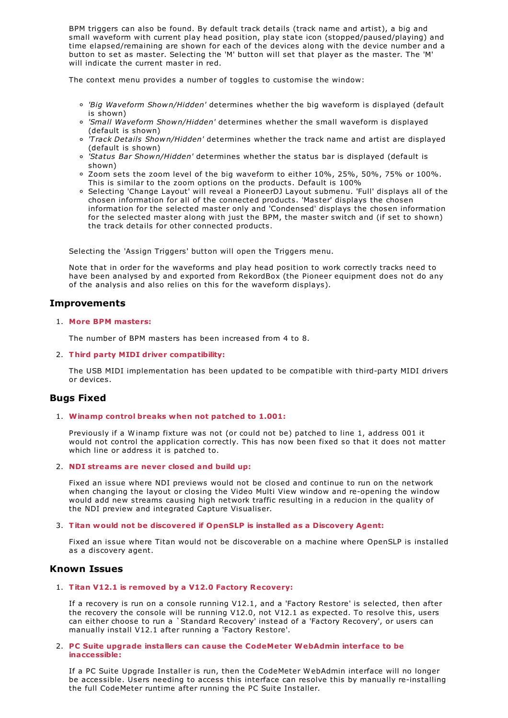BPM triggers can also be found. By default track details (track name and artist), a big and small waveform with current play head position, play state icon (stopped/paused/playing) and time elapsed/remaining are shown for each of the devices along with the device number and a button to set as master. Selecting the 'M' button will set that player as the master. The 'M' will indicate the current master in red.

The context menu provides a number of toggles to customise the window:

- *'Big Waveform Shown/Hidden'* determines whether the big waveform is displayed (default is shown)
- *'Small Waveform Shown/Hidden'* determines whether the small waveform is displayed (default is shown)
- *'Track Details Shown/Hidden'* determines whether the track name and artist are displayed (default is shown)
- *'Status Bar Shown/Hidden'* determines whether the status bar is displayed (default is shown)
- $\circ$  Zoom sets the zoom level of the big waveform to either 10%, 25%, 50%, 75% or 100%. This is similar to the zoom options on the products. Default is 100%
- Selecting 'Change Layout' will reveal a PioneerDJ Layout submenu. 'Full' displays all of the chosen information for all of the connected products. 'Master' displays the chosen information for the selected master only and 'Condensed' displays the chosen information for the selected master along with just the BPM, the master switch and (if set to shown) the track details for other connected products.

Selecting the 'Assign Triggers' button will open the Triggers menu.

Note that in order for the waveforms and play head position to work correctly tracks need to have been analysed by and exported from RekordBox (the Pioneer equipment does not do any of the analysis and also relies on this for the waveform displays).

# **Improvements**

# 1. **More BPM masters:**

The number of BPM masters has been increased from 4 to 8.

# 2. **Third party MIDI driver compatibility:**

The USB MIDI implementation has been updated to be compatible with third-party MIDI drivers or devices.

# **Bugs Fixed**

1. **Winamp control breaks when not patched to 1.001:**

Previously if a W inamp fixture was not (or could not be) patched to line 1, address 001 it would not control the application correctly. This has now been fixed so that it does not matter which line or address it is patched to.

#### 2. **NDI streams are never closed and build up:**

Fixed an issue where NDI previews would not be closed and continue to run on the network when changing the layout or closing the Video Multi View window and re-opening the window would add new streams causing high network traffic resulting in a reducion in the quality of the NDI preview and integrated Capture Visualiser.

#### 3. **Titan would not be discovered if OpenSLP is installed as a Discovery Agent:**

Fixed an issue where Titan would not be discoverable on a machine where OpenSLP is installed as a discovery agent.

# **Known Issues**

# 1. **Titan V12.1 is removed by a V12.0 Factory Recovery:**

If a recovery is run on a console running V12.1, and a 'Factory Restore' is selected, then after the recovery the console will be running V12.0, not V12.1 as expected. To resolve this, users can either choose to run a `Standard Recovery' instead of a 'Factory Recovery', or users can manually install V12.1 after running a 'Factory Restore'.

#### 2. **PC Suite upgrade installers can cause the CodeMeter WebAdmin interface to be inaccessible:**

If a PC Suite Upgrade Installer is run, then the CodeMeter W ebAdmin interface will no longer be accessible. Users needing to access this interface can resolve this by manually re-installing the full CodeMeter runtime after running the PC Suite Installer.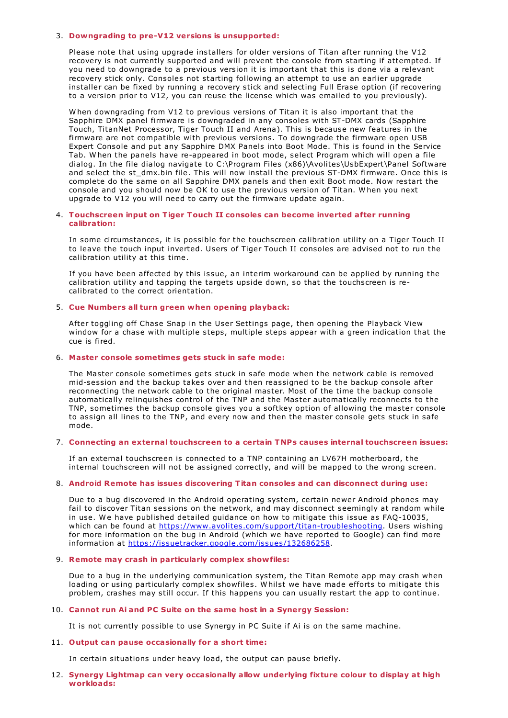### 3. **Downgrading to pre-V12 versions is unsupported:**

Please note that using upgrade installers for older versions of Titan after running the V12 recovery is not currently supported and will prevent the console from starting if attempted. If you need to downgrade to a previous version it is important that this is done via a relevant recovery stick only. Consoles not starting following an attempt to use an earlier upgrade installer can be fixed by running a recovery stick and selecting Full Erase option (if recovering to a version prior to V12, you can reuse the license which was emailed to you previously).

W hen downgrading from V12 to previous versions of Titan it is also important that the Sapphire DMX panel firmware is downgraded in any consoles with ST-DMX cards (Sapphire Touch, TitanNet Processor, Tiger Touch II and Arena). This is because new features in the firmware are not compatible with previous versions. To downgrade the firmware open USB Expert Console and put any Sapphire DMX Panels into Boot Mode. This is found in the Service Tab. W hen the panels have re-appeared in boot mode, select Program which will open a file dialog. In the file dialog navigate to C:\Program Files (x86)\Avolites\UsbExpert\Panel Software and select the st\_dmx.bin file. This will now install the previous ST-DMX firmware. Once this is complete do the same on all Sapphire DMX panels and then exit Boot mode. Now restart the console and you should now be OK to use the previous version of Titan. W hen you next upgrade to V12 you will need to carry out the firmware update again.

#### 4. **Touchscreen input on Tiger Touch II consoles can become inverted after running calibration:**

In some circumstances, it is possible for the touchscreen calibration utility on a Tiger Touch II to leave the touch input inverted. Users of Tiger Touch II consoles are advised not to run the calibration utility at this time.

If you have been affected by this issue, an interim workaround can be applied by running the calibration utility and tapping the targets upside down, so that the touchscreen is recalibrated to the correct orientation.

### 5. **Cue Numbers all turn green when opening playback:**

After toggling off Chase Snap in the User Settings page, then opening the Playback View window for a chase with multiple steps, multiple steps appear with a green indication that the cue is fired.

### 6. **Master console sometimes gets stuck in safe mode:**

The Master console sometimes gets stuck in safe mode when the network cable is removed mid-session and the backup takes over and then reassigned to be the backup console after reconnecting the network cable to the original master. Most of the time the backup console automatically relinquishes control of the TNP and the Master automatically reconnects to the TNP, sometimes the backup console gives you a softkey option of allowing the master console to assign all lines to the TNP, and every now and then the master console gets stuck in safe mode.

#### 7. **Connecting an external touchscreen to a certain TNPs causes internal touchscreen issues:**

If an external touchscreen is connected to a TNP containing an LV67H motherboard, the internal touchscreen will not be assigned correctly, and will be mapped to the wrong screen.

# 8. **Android Remote has issues discovering Titan consoles and can disconnect during use:**

Due to a bug discovered in the Android operating system, certain newer Android phones may fail to discover Titan sessions on the network, and may disconnect seemingly at random while in use. W e have published detailed guidance on how to mitigate this issue as FAQ-10035, which can be found at <https://www.avolites.com/support/titan-troubleshooting>. Users wishing for more information on the bug in Android (which we have reported to Google) can find more information at <https://issuetracker.google.com/issues/132686258>.

#### 9. **Remote may crash in particularly complex showfiles:**

Due to a bug in the underlying communication system, the Titan Remote app may crash when loading or using particularly complex showfiles. W hilst we have made efforts to mitigate this problem, crashes may still occur. If this happens you can usually restart the app to continue.

#### 10. **Cannot run Ai and PC Suite on the same host in a Synergy Session:**

It is not currently possible to use Synergy in PC Suite if Ai is on the same machine.

# 11. **Output can pause occasionally for a short time:**

In certain situations under heavy load, the output can pause briefly.

# 12. **Synergy Lightmap can very occasionally allow underlying fixture colour to display at high workloads:**